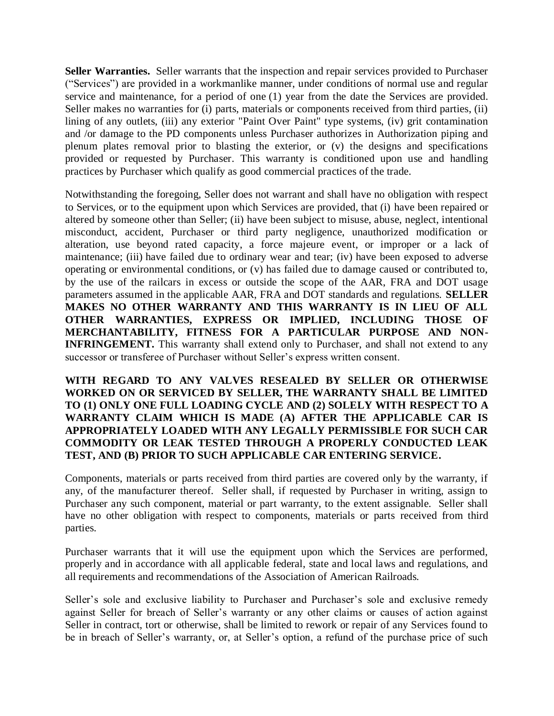**Seller Warranties.** Seller warrants that the inspection and repair services provided to Purchaser ("Services") are provided in a workmanlike manner, under conditions of normal use and regular service and maintenance, for a period of one (1) year from the date the Services are provided. Seller makes no warranties for (i) parts, materials or components received from third parties, (ii) lining of any outlets, (iii) any exterior "Paint Over Paint" type systems, (iv) grit contamination and /or damage to the PD components unless Purchaser authorizes in Authorization piping and plenum plates removal prior to blasting the exterior, or (v) the designs and specifications provided or requested by Purchaser. This warranty is conditioned upon use and handling practices by Purchaser which qualify as good commercial practices of the trade.

Notwithstanding the foregoing, Seller does not warrant and shall have no obligation with respect to Services, or to the equipment upon which Services are provided, that (i) have been repaired or altered by someone other than Seller; (ii) have been subject to misuse, abuse, neglect, intentional misconduct, accident, Purchaser or third party negligence, unauthorized modification or alteration, use beyond rated capacity, a force majeure event, or improper or a lack of maintenance; (iii) have failed due to ordinary wear and tear; (iv) have been exposed to adverse operating or environmental conditions, or (v) has failed due to damage caused or contributed to, by the use of the railcars in excess or outside the scope of the AAR, FRA and DOT usage parameters assumed in the applicable AAR, FRA and DOT standards and regulations. **SELLER MAKES NO OTHER WARRANTY AND THIS WARRANTY IS IN LIEU OF ALL OTHER WARRANTIES, EXPRESS OR IMPLIED, INCLUDING THOSE OF MERCHANTABILITY, FITNESS FOR A PARTICULAR PURPOSE AND NON-INFRINGEMENT.** This warranty shall extend only to Purchaser, and shall not extend to any successor or transferee of Purchaser without Seller's express written consent.

**WITH REGARD TO ANY VALVES RESEALED BY SELLER OR OTHERWISE WORKED ON OR SERVICED BY SELLER, THE WARRANTY SHALL BE LIMITED TO (1) ONLY ONE FULL LOADING CYCLE AND (2) SOLELY WITH RESPECT TO A WARRANTY CLAIM WHICH IS MADE (A) AFTER THE APPLICABLE CAR IS APPROPRIATELY LOADED WITH ANY LEGALLY PERMISSIBLE FOR SUCH CAR COMMODITY OR LEAK TESTED THROUGH A PROPERLY CONDUCTED LEAK TEST, AND (B) PRIOR TO SUCH APPLICABLE CAR ENTERING SERVICE.** 

Components, materials or parts received from third parties are covered only by the warranty, if any, of the manufacturer thereof. Seller shall, if requested by Purchaser in writing, assign to Purchaser any such component, material or part warranty, to the extent assignable. Seller shall have no other obligation with respect to components, materials or parts received from third parties.

Purchaser warrants that it will use the equipment upon which the Services are performed, properly and in accordance with all applicable federal, state and local laws and regulations, and all requirements and recommendations of the Association of American Railroads.

Seller's sole and exclusive liability to Purchaser and Purchaser's sole and exclusive remedy against Seller for breach of Seller's warranty or any other claims or causes of action against Seller in contract, tort or otherwise, shall be limited to rework or repair of any Services found to be in breach of Seller's warranty, or, at Seller's option, a refund of the purchase price of such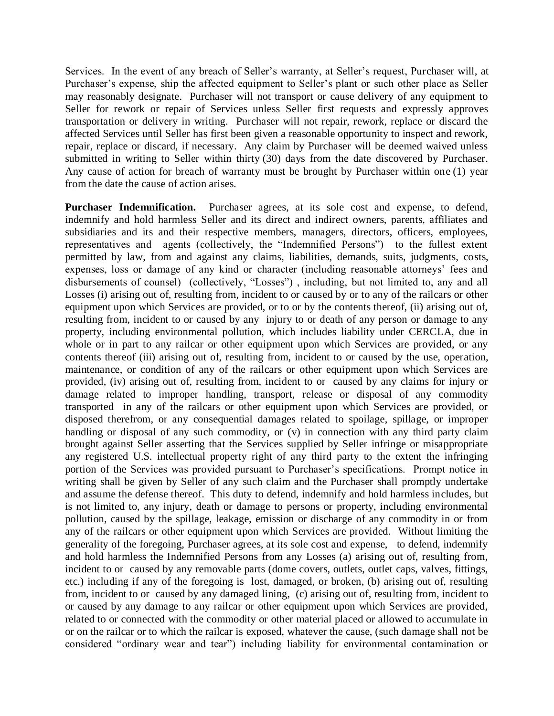Services. In the event of any breach of Seller's warranty, at Seller's request, Purchaser will, at Purchaser's expense, ship the affected equipment to Seller's plant or such other place as Seller may reasonably designate. Purchaser will not transport or cause delivery of any equipment to Seller for rework or repair of Services unless Seller first requests and expressly approves transportation or delivery in writing. Purchaser will not repair, rework, replace or discard the affected Services until Seller has first been given a reasonable opportunity to inspect and rework, repair, replace or discard, if necessary. Any claim by Purchaser will be deemed waived unless submitted in writing to Seller within thirty (30) days from the date discovered by Purchaser. Any cause of action for breach of warranty must be brought by Purchaser within one (1) year from the date the cause of action arises.

**Purchaser Indemnification.** Purchaser agrees, at its sole cost and expense, to defend, indemnify and hold harmless Seller and its direct and indirect owners, parents, affiliates and subsidiaries and its and their respective members, managers, directors, officers, employees, representatives and agents (collectively, the "Indemnified Persons") to the fullest extent permitted by law, from and against any claims, liabilities, demands, suits, judgments, costs, expenses, loss or damage of any kind or character (including reasonable attorneys' fees and disbursements of counsel) (collectively, "Losses") , including, but not limited to, any and all Losses (i) arising out of, resulting from, incident to or caused by or to any of the railcars or other equipment upon which Services are provided, or to or by the contents thereof, (ii) arising out of, resulting from, incident to or caused by any injury to or death of any person or damage to any property, including environmental pollution, which includes liability under CERCLA, due in whole or in part to any railcar or other equipment upon which Services are provided, or any contents thereof (iii) arising out of, resulting from, incident to or caused by the use, operation, maintenance, or condition of any of the railcars or other equipment upon which Services are provided, (iv) arising out of, resulting from, incident to or caused by any claims for injury or damage related to improper handling, transport, release or disposal of any commodity transported in any of the railcars or other equipment upon which Services are provided, or disposed therefrom, or any consequential damages related to spoilage, spillage, or improper handling or disposal of any such commodity, or (v) in connection with any third party claim brought against Seller asserting that the Services supplied by Seller infringe or misappropriate any registered U.S. intellectual property right of any third party to the extent the infringing portion of the Services was provided pursuant to Purchaser's specifications. Prompt notice in writing shall be given by Seller of any such claim and the Purchaser shall promptly undertake and assume the defense thereof. This duty to defend, indemnify and hold harmless includes, but is not limited to, any injury, death or damage to persons or property, including environmental pollution, caused by the spillage, leakage, emission or discharge of any commodity in or from any of the railcars or other equipment upon which Services are provided. Without limiting the generality of the foregoing, Purchaser agrees, at its sole cost and expense, to defend, indemnify and hold harmless the Indemnified Persons from any Losses (a) arising out of, resulting from, incident to or caused by any removable parts (dome covers, outlets, outlet caps, valves, fittings, etc.) including if any of the foregoing is lost, damaged, or broken, (b) arising out of, resulting from, incident to or caused by any damaged lining, (c) arising out of, resulting from, incident to or caused by any damage to any railcar or other equipment upon which Services are provided, related to or connected with the commodity or other material placed or allowed to accumulate in or on the railcar or to which the railcar is exposed, whatever the cause, (such damage shall not be considered "ordinary wear and tear") including liability for environmental contamination or